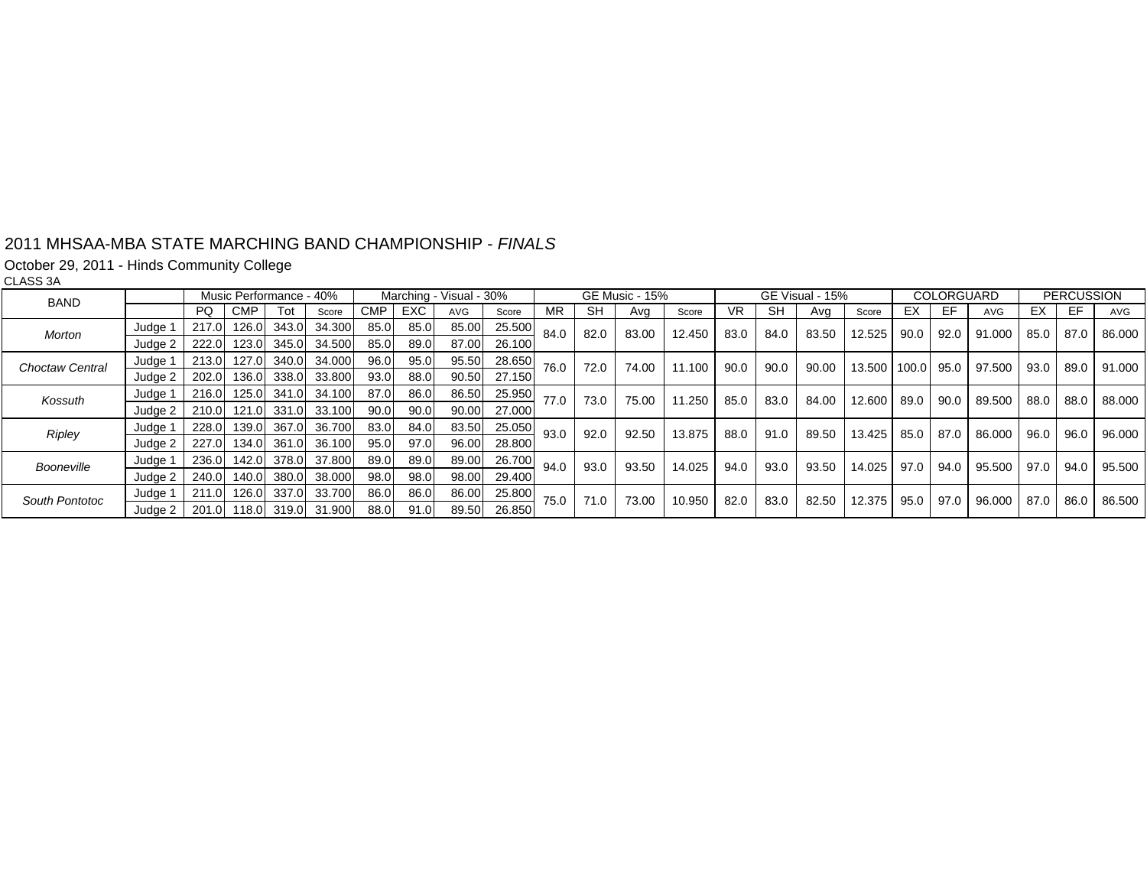#### 2011 MHSAA-MBA STATE MARCHING BAND CHAMPIONSHIP - *FINALS*

October 29, 2011 - Hinds Community College

CLASS 3A

| BAND                   |                    | Music Performance - 40% |            |             |                    |            |      | Marching - Visual - 30% |        | GE Music - 15% |      |       | GE Visual - 15% |      |      | COLORGUARD |                   | <b>PERCUSSION</b> |      |                  |             |      |        |
|------------------------|--------------------|-------------------------|------------|-------------|--------------------|------------|------|-------------------------|--------|----------------|------|-------|-----------------|------|------|------------|-------------------|-------------------|------|------------------|-------------|------|--------|
|                        |                    | PQ.                     | <b>CMP</b> | Tot         | Score              | <b>CMP</b> | EXC. | AVG                     | Score  | MR             | SH   | Ava   | Score           | VR.  | SH   | Ava        | Score             | EХ                | EF   | <b>AVG</b>       | ЕX          | EF   | AVG    |
| <b>Morton</b>          | Judge <sup>-</sup> | 217.0                   | 126.0      | 343.0       | 34.300             | 85.0       | 85.0 | 85.00                   | 25.500 | 84.0           | 82.0 | 83.00 | 12.450          | 83.0 | 84.0 | 83.50      | 12.525            | 90.0              | 92.0 | 91.000           | 85.0 87.0   |      | 86.000 |
|                        | Judge 2            | 222.0                   |            | 123.0 345.0 | 34.500             | 85.0       | 89.0 | 87.00                   | 26.100 |                |      |       |                 |      |      |            |                   |                   |      |                  |             |      |        |
| <b>Choctaw Central</b> | Judge 1            | 213.0                   | 127.0      | 340.0       | 34.000             | 96.0       | 95.0 | 95.50                   | 28.650 | 76.0           | 72.0 |       | 74.00<br>11.100 | 90.0 | 90.0 | 90.00      | 13.500 100.0 95.0 |                   |      | 97.500           | $93.0$ 89.0 |      | 91.000 |
|                        | Judge 2            | 202.0                   | 136.0      | 338.0       | 33.800             | 93.0       | 88.0 | 90.50                   | 27.150 |                |      |       |                 |      |      |            |                   |                   |      |                  |             |      |        |
| Kossuth                | Judge 1            | 216.0                   | 125.0      | 341.0       | 34.100             | 87.0       | 86.0 | 86.50                   | 25.950 | 77.0           | 73.0 | 75.00 | 11.250          | 85.0 | 83.0 | 84.00      | 12.600            | 89.0              | 90.0 | 89.500           | 88.0        | 88.0 | 88.000 |
|                        | Judge 2            | 210.0                   |            |             | 121.0 331.0 33.100 | 90.0       | 90.0 | 90.00                   | 27.000 |                |      |       |                 |      |      |            |                   |                   |      |                  |             |      |        |
| Ripley                 | Judge 1            | 228.0                   |            | 139.0 367.0 | 36.700             | 83.0       | 84.0 | 83.50                   | 25.050 | 93.0           | 92.0 | 92.50 | 13.875          | 88.0 | 91.0 | 89.50      | 13.425            | 85.0              | 87.0 | 86.000           | 96.0        | 96.0 | 96.000 |
|                        | Judge 2            | 227.0                   |            |             | 134.0 361.0 36.100 | 95.0       | 97.0 | 96.00                   | 28.800 |                |      |       |                 |      |      |            |                   |                   |      |                  |             |      |        |
| Booneville             | Judge 1            | 236.0                   | 142.0      | 378.0       | 37.800             | 89.0       | 89.0 | 89.00                   | 26.700 | 94.0           | 93.0 | 93.50 | 14.025          | 94.0 | 93.0 | 93.50      | 14.025            | 97.0              | 94.0 | 95.500 97.0 94.0 |             |      | 95.500 |
|                        | Judge 2            | 240.0                   | 140.0      | 380.0       | 38,000             | 98.0       | 98.0 | 98.00                   | 29.400 |                |      |       |                 |      |      |            |                   |                   |      |                  |             |      |        |
| South Pontotoc         | Judge 1            | 211.0                   | 126.0      | 337.0       | 33.700             | 86.0       | 86.0 | 86.00                   | 25.800 | 75.0           | 71.0 | 73.00 | 10.950          | 82.0 | 83.0 | 82.50      | 12.375            | 95.0              | 97.0 | 96.000           | 87.0        | 86.0 | 86.500 |
|                        | Judge 2            | 201.0                   | 118.0      | 319.0       | 31.900             | 88.0       | 91.0 | 89.50                   | 26.850 |                |      |       |                 |      |      |            |                   |                   |      |                  |             |      |        |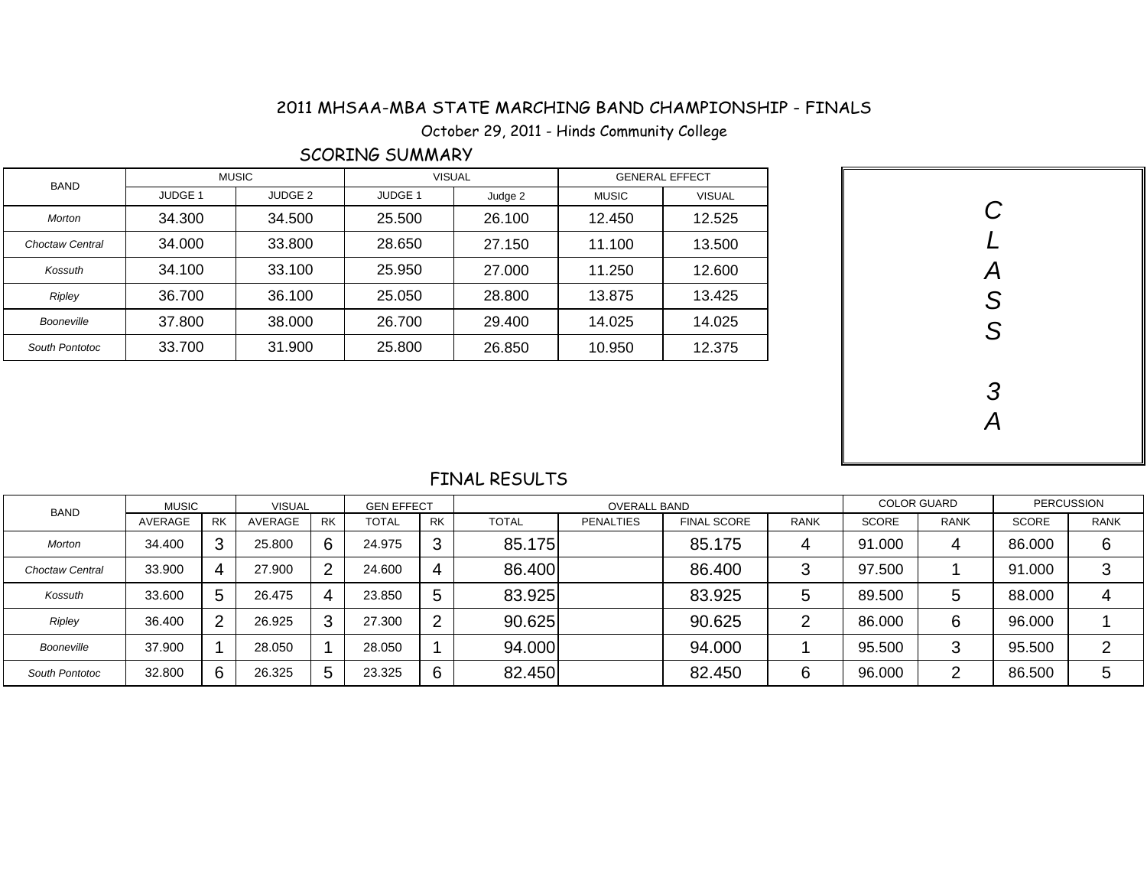## 2011 MHSAA-MBA STATE MARCHING BAND CHAMPIONSHIP - FINALS - MHSAA-MBA STATE MARCHING BAND CHAMPIONSHIP<br>October 29, 2011 - Hinds Community College

### SCORING SUMMARY

| BAND            |                    | <b>MUSIC</b>       | <b>VISUAL</b>      |         |              | <b>GENERAL EFFECT</b> |  |        |
|-----------------|--------------------|--------------------|--------------------|---------|--------------|-----------------------|--|--------|
|                 | JUDGE <sub>1</sub> | JUDGE <sub>2</sub> | JUDGE <sub>1</sub> | Judge 2 | <b>MUSIC</b> | <b>VISUAL</b>         |  |        |
| Morton          | 34.300             | 34.500             | 25.500             | 26.100  | 12.450       | 12.525                |  |        |
| Choctaw Central | 34.000             | 33.800             | 28.650             | 27.150  | 11.100       | 13.500                |  |        |
| Kossuth         | 34.100             | 33.100             | 25.950             | 27.000  | 11.250       | 12.600                |  | Α      |
| Ripley          | 36.700             | 36.100             | 25.050             | 28.800  | 13.875       | 13.425                |  | C<br>ٮ |
| Booneville      | 37.800             | 38.000             | 26.700             | 29.400  | 14.025       | 14.025                |  | C      |
| South Pontotoc  | 33.700             | 31.900             | 25.800             | 26.850  | 10.950       | 12.375                |  | O      |

| CLASS         |
|---------------|
| $\frac{3}{4}$ |

#### FINAL RESULTS

| <b>BAND</b>            | <b>MUSIC</b> |           | <b>VISUAL</b> |           | <b>GEN EFFECT</b> |                |              | <b>COLOR GUARD</b> |                    | PERCUSSION  |              |             |              |             |
|------------------------|--------------|-----------|---------------|-----------|-------------------|----------------|--------------|--------------------|--------------------|-------------|--------------|-------------|--------------|-------------|
|                        | AVERAGE      | <b>RK</b> | AVERAGE       | <b>RK</b> | <b>TOTAL</b>      | <b>RK</b>      | <b>TOTAL</b> | <b>PENALTIES</b>   | <b>FINAL SCORE</b> | <b>RANK</b> | <b>SCORE</b> | <b>RANK</b> | <b>SCORE</b> | <b>RANK</b> |
| <b>Morton</b>          | 34.400       | 3         | 25,800        | 6         | 24.975            | 3              | 85.175       |                    | 85.175             | 4           | 91.000       | 4           | 86.000       | 6           |
| <b>Choctaw Central</b> | 33,900       | 4         | 27.900        | ာ         | 24.600            | 4              | 86.400       |                    | 86.400             | 3           | 97.500       |             | 91.000       | ົ           |
| Kossuth                | 33,600       | 5         | 26.475        | 4         | 23.850            | 5              | 83.925       |                    | 83.925             | ა           | 89.500       | 5           | 88.000       | 4           |
| Ripley                 | 36.400       | 2         | 26.925        | 3         | 27.300            | $\overline{2}$ | 90.625       |                    | 90.625             | ⌒           | 86.000       | 6           | 96.000       |             |
| Booneville             | 37,900       |           | 28.050        |           | 28.050            |                | 94.000       |                    | 94.000             |             | 95.500       | 3           | 95.500       |             |
| South Pontotoc         | 32,800       | 6         | 26.325        | 5         | 23.325            | 6              | 82.450       |                    | 82.450             | 6           | 96.000       | ◠           | 86.500       | b           |